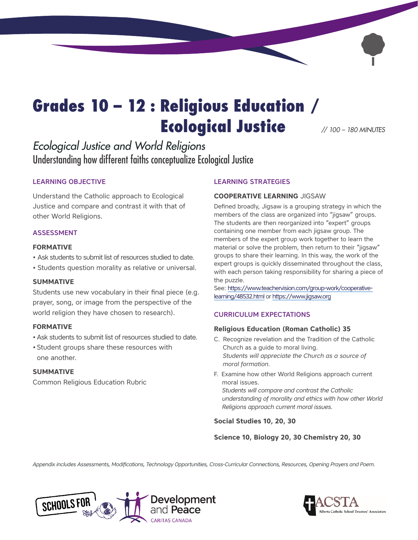# Grades 10 – 12 : Religious Education / Ecological Justice *// 100 – 180 MINUTES*

*Ecological Justice and World Religions*  Understanding how different faiths conceptualize Ecological Justice

#### LEARNING OBJECTIVE

Understand the Catholic approach to Ecological Justice and compare and contrast it with that of other World Religions.

#### ASSESSMENT

#### **FORMATIVE**

- Ask students to submit list of resources studied to date.
- Students question morality as relative or universal.

#### **SUMMATIVE**

Students use new vocabulary in their final piece (e.g. prayer, song, or image from the perspective of the world religion they have chosen to research).

#### **FORMATIVE**

- •Ask students to submit list of resources studied to date.
- Student groups share these resources with one another.

#### **SUMMATIVE**

Common Religious Education Rubric

#### LEARNING STRATEGIES

#### **COOPERATIVE LEARNING** JIGSAW

Defined broadly, Jigsaw is a grouping strategy in which the members of the class are organized into "jigsaw" groups. The students are then reorganized into "expert" groups containing one member from each jigsaw group. The members of the expert group work together to learn the material or solve the problem, then return to their "jigsaw" groups to share their learning. In this way, the work of the expert groups is quickly disseminated throughout the class, with each person taking responsibility for sharing a piece of the puzzle.

See: [https://www.teachervision.com/group-work/cooperative](https://www.teachervision.com/group-work/cooperative-learning/48532.html)[learning/48532.html](https://www.teachervision.com/group-work/cooperative-learning/48532.html) or<https://www.jigsaw.org>

#### CURRICULUM EXPECTATIONS

#### **Religious Education (Roman Catholic) 35**

- C. Recognize revelation and the Tradition of the Catholic Church as a guide to moral living. *Students will appreciate the Church as a source of moral formation.*
- F. Examine how other World Religions approach current moral issues.

*Students will compare and contrast the Catholic understanding of morality and ethics with how other World Religions approach current moral issues.* 

#### **Social Studies 10, 20, 30**

**Science 10, Biology 20, 30 Chemistry 20, 30**

*Appendix includes Assessments, Modifications, Technology Opportunities, Cross-Curricular Connections, Resources, Opening Prayers and Poem.*



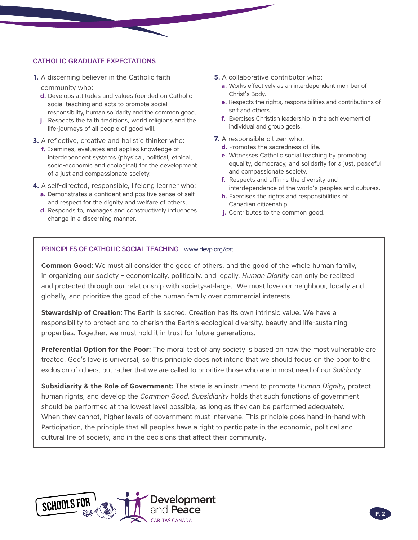#### CATHOLIC GRADUATE EXPECTATIONS

- **1.** A discerning believer in the Catholic faith community who:
	- **d.** Develops attitudes and values founded on Catholic social teaching and acts to promote social responsibility, human solidarity and the common good.
	- **j.** Respects the faith traditions, world religions and the life-journeys of all people of good will.
- **3.** A reflective, creative and holistic thinker who:
	- **f.** Examines, evaluates and applies knowledge of interdependent systems (physical, political, ethical, socio-economic and ecological) for the development of a just and compassionate society.
- **4.** A self-directed, responsible, lifelong learner who:
	- **a.** Demonstrates a confident and positive sense of self and respect for the dignity and welfare of others.
	- **d.** Responds to, manages and constructively influences change in a discerning manner.
- **5.** A collaborative contributor who:
	- **a.** Works effectively as an interdependent member of Christ's Body.
	- **e.** Respects the rights, responsibilities and contributions of self and others.
	- **f.** Exercises Christian leadership in the achievement of individual and group goals.
- **7.** A responsible citizen who:
	- **d.** Promotes the sacredness of life.
	- **e.** Witnesses Catholic social teaching by promoting equality, democracy, and solidarity for a just, peaceful and compassionate society.
	- **f.** Respects and affirms the diversity and interdependence of the world's peoples and cultures.
	- **h.** Exercises the rights and responsibilities of Canadian citizenship.
	- **j.** Contributes to the common good.

#### PRINCIPLES OF CATHOLIC SOCIAL TEACHING [www.devp.org/cst](http://www.devp.org/cst)

**Common Good:** We must all consider the good of others, and the good of the whole human family, in organizing our society – economically, politically, and legally. *Human Dignity* can only be realized and protected through our relationship with society-at-large. We must love our neighbour, locally and globally, and prioritize the good of the human family over commercial interests.

**Stewardship of Creation:** The Earth is sacred. Creation has its own intrinsic value. We have a responsibility to protect and to cherish the Earth's ecological diversity, beauty and life-sustaining properties. Together, we must hold it in trust for future generations.

**Preferential Option for the Poor:** The moral test of any society is based on how the most vulnerable are treated. God's love is universal, so this principle does not intend that we should focus on the poor to the exclusion of others, but rather that we are called to prioritize those who are in most need of our *Solidarity*.

**Subsidiarity & the Role of Government:** The state is an instrument to promote *Human Dignity*, protect human rights, and develop the *Common Good*. *Subsidiarity* holds that such functions of government should be performed at the lowest level possible, as long as they can be performed adequately. When they cannot, higher levels of government must intervene. This principle goes hand-in-hand with Participation, the principle that all peoples have a right to participate in the economic, political and cultural life of society, and in the decisions that affect their community.

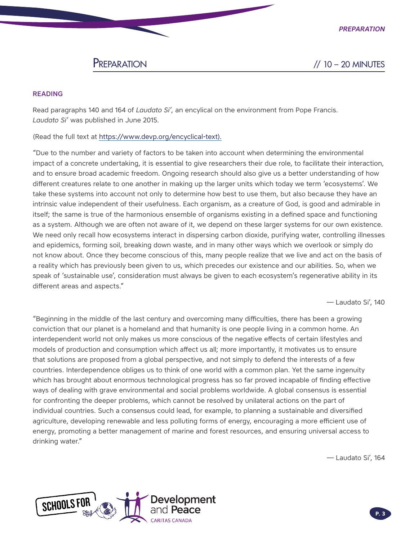*Preparation*

### Preparation // 10 – 20 MINUTES

#### READING

Read paragraphs 140 and 164 of *Laudato Si'*, an encylical on the environment from Pope Francis. *Laudato Si'* was published in June 2015.

(Read the full text at [https://www.devp.org/encyclical-text\)](https://www.devp.org/encyclical-text).

"Due to the number and variety of factors to be taken into account when determining the environmental impact of a concrete undertaking, it is essential to give researchers their due role, to facilitate their interaction, and to ensure broad academic freedom. Ongoing research should also give us a better understanding of how different creatures relate to one another in making up the larger units which today we term 'ecosystems'. We take these systems into account not only to determine how best to use them, but also because they have an intrinsic value independent of their usefulness. Each organism, as a creature of God, is good and admirable in itself; the same is true of the harmonious ensemble of organisms existing in a defined space and functioning as a system. Although we are often not aware of it, we depend on these larger systems for our own existence. We need only recall how ecosystems interact in dispersing carbon dioxide, purifying water, controlling illnesses and epidemics, forming soil, breaking down waste, and in many other ways which we overlook or simply do not know about. Once they become conscious of this, many people realize that we live and act on the basis of a reality which has previously been given to us, which precedes our existence and our abilities. So, when we speak of 'sustainable use', consideration must always be given to each ecosystem's regenerative ability in its different areas and aspects."

— Laudato Si', 140

"Beginning in the middle of the last century and overcoming many difficulties, there has been a growing conviction that our planet is a homeland and that humanity is one people living in a common home. An interdependent world not only makes us more conscious of the negative effects of certain lifestyles and models of production and consumption which affect us all; more importantly, it motivates us to ensure that solutions are proposed from a global perspective, and not simply to defend the interests of a few countries. Interdependence obliges us to think of one world with a common plan. Yet the same ingenuity which has brought about enormous technological progress has so far proved incapable of finding effective ways of dealing with grave environmental and social problems worldwide. A global consensus is essential for confronting the deeper problems, which cannot be resolved by unilateral actions on the part of individual countries. Such a consensus could lead, for example, to planning a sustainable and diversified agriculture, developing renewable and less polluting forms of energy, encouraging a more efficient use of energy, promoting a better management of marine and forest resources, and ensuring universal access to drinking water."

— Laudato Si', 164

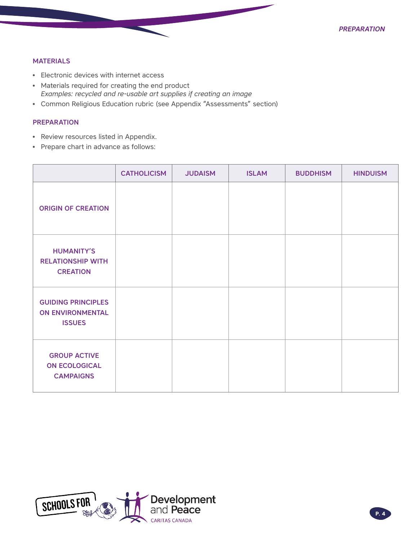#### **MATERIALS**

- Electronic devices with internet access
- Materials required for creating the end product *Examples: recycled and re-usable art supplies if creating an image*
- Common Religious Education rubric (see Appendix "Assessments" section)

#### PREPARATION

- Review resources listed in Appendix.
- Prepare chart in advance as follows:

|                                                                       | <b>CATHOLICISM</b> | <b>JUDAISM</b> | <b>ISLAM</b> | <b>BUDDHISM</b> | <b>HINDUISM</b> |
|-----------------------------------------------------------------------|--------------------|----------------|--------------|-----------------|-----------------|
| <b>ORIGIN OF CREATION</b>                                             |                    |                |              |                 |                 |
| <b>HUMANITY'S</b><br><b>RELATIONSHIP WITH</b><br><b>CREATION</b>      |                    |                |              |                 |                 |
| <b>GUIDING PRINCIPLES</b><br><b>ON ENVIRONMENTAL</b><br><b>ISSUES</b> |                    |                |              |                 |                 |
| <b>GROUP ACTIVE</b><br><b>ON ECOLOGICAL</b><br><b>CAMPAIGNS</b>       |                    |                |              |                 |                 |

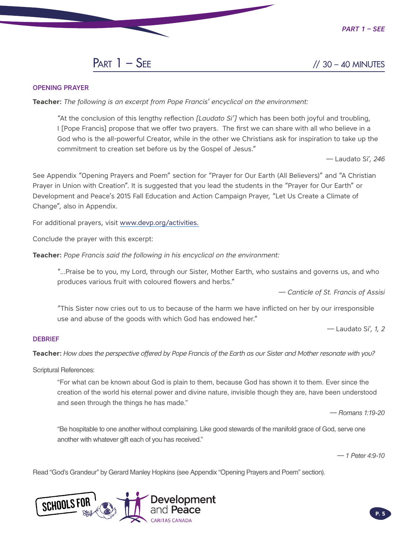$PART 1 - SEE$  // 30 – 40 MINUTES

#### OPENING PRAYER

**Teacher:** *The following is an excerpt from Pope Francis' encyclical on the environment:*

"At the conclusion of this lengthy reflection *[Laudato Si']* which has been both joyful and troubling, I [Pope Francis] propose that we offer two prayers. The first we can share with all who believe in a God who is the all-powerful Creator, while in the other we Christians ask for inspiration to take up the commitment to creation set before us by the Gospel of Jesus."

*—* Laudato Si'*, 246*

See Appendix "Opening Prayers and Poem" section for "Prayer for Our Earth (All Believers)" and "A Christian Prayer in Union with Creation". It is suggested that you lead the students in the "Prayer for Our Earth" or Development and Peace's 2015 Fall Education and Action Campaign Prayer, "Let Us Create a Climate of Change", also in Appendix.

For additional prayers, visit [www.devp.org/activities](http://www.devp.org/activities  ).

Conclude the prayer with this excerpt:

**Teacher:** *Pope Francis said the following in his encyclical on the environment:*

"...Praise be to you, my Lord, through our Sister, Mother Earth, who sustains and governs us, and who produces various fruit with coloured flowers and herbs."

*— Canticle of St. Francis of Assisi*

"This Sister now cries out to us to because of the harm we have inflicted on her by our irresponsible use and abuse of the goods with which God has endowed her."

*—* Laudato Si'*, 1, 2*

#### **DEBRIEF**

**Teacher:** *How does the perspective offered by Pope Francis of the Earth as our Sister and Mother resonate with you?*

Scriptural References:

"For what can be known about God is plain to them, because God has shown it to them. Ever since the creation of the world his eternal power and divine nature, invisible though they are, have been understood and seen through the things he has made."

*— Romans 1:19-20*

"Be hospitable to one another without complaining. Like good stewards of the manifold grace of God, serve one another with whatever gift each of you has received."

*— 1 Peter 4:9-10*

Read "God's Grandeur" by Gerard Manley Hopkins (see Appendix "Opening Prayers and Poem" section).

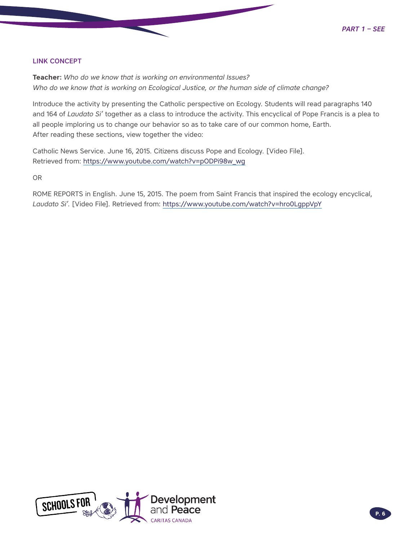#### LINK CONCEPT

**Teacher:** *Who do we know that is working on environmental Issues? Who do we know that is working on Ecological Justice, or the human side of climate change?*

Introduce the activity by presenting the Catholic perspective on Ecology. Students will read paragraphs 140 and 164 of *Laudato Si'* together as a class to introduce the activity. This encyclical of Pope Francis is a plea to all people imploring us to change our behavior so as to take care of our common home, Earth. After reading these sections, view together the video:

Catholic News Service. June 16, 2015. Citizens discuss Pope and Ecology. [Video File]. Retrieved from: [https://www.youtube.com/watch?v=pODPi98w\\_wg](https://www.youtube.com/watch?v=pODPi98w_wg)

OR

ROME REPORTS in English. June 15, 2015. The poem from Saint Francis that inspired the ecology encyclical, *Laudato Si'*. [Video File]. Retrieved from: <https://www.youtube.com/watch?v=hro0LgppVpY>

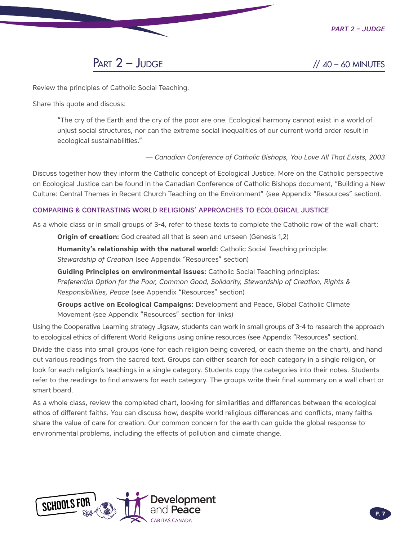

# $PART 2 - JUDGE$  // 40 – 60 MINUTES

Review the principles of Catholic Social Teaching.

Share this quote and discuss:

"The cry of the Earth and the cry of the poor are one. Ecological harmony cannot exist in a world of unjust social structures, nor can the extreme social inequalities of our current world order result in ecological sustainabilities."

*— Canadian Conference of Catholic Bishops, You Love All That Exists, 2003*

Discuss together how they inform the Catholic concept of Ecological Justice. More on the Catholic perspective on Ecological Justice can be found in the Canadian Conference of Catholic Bishops document, "Building a New Culture: Central Themes in Recent Church Teaching on the Environment" (see Appendix "Resources" section).

#### COMPARING & CONTRASTING WORLD RELIGIONS' APPROACHES TO ECOLOGICAL JUSTICE

As a whole class or in small groups of 3-4, refer to these texts to complete the Catholic row of the wall chart:

**Origin of creation:** God created all that is seen and unseen (Genesis 1,2)

**Humanity's relationship with the natural world:** Catholic Social Teaching principle: *Stewardship of Creation* (see Appendix "Resources" section)

**Guiding Principles on environmental issues:** Catholic Social Teaching principles: *Preferential Option for the Poor, Common Good, Solidarity, Stewardship of Creation, Rights & Responsibilities, Peace* (see Appendix "Resources" section)

**Groups active on Ecological Campaigns:** [Development and Peace](http://www.devp.org/en), [Global Catholic Climate](https://catholicclimatemovement.global)  [Movement](https://catholicclimatemovement.global) (see Appendix "Resources" section for links)

Using the Cooperative Learning strategy Jigsaw, students can work in small groups of 3-4 to research the approach to ecological ethics of different World Religions using online resources (see Appendix "Resources" section).

Divide the class into small groups (one for each religion being covered, or each theme on the chart), and hand out various readings from the sacred text. Groups can either search for each category in a single religion, or look for each religion's teachings in a single category. Students copy the categories into their notes. Students refer to the readings to find answers for each category. The groups write their final summary on a wall chart or smart board.

As a whole class, review the completed chart, looking for similarities and differences between the ecological ethos of different faiths. You can discuss how, despite world religious differences and conflicts, many faiths share the value of care for creation. Our common concern for the earth can guide the global response to environmental problems, including the effects of pollution and climate change.

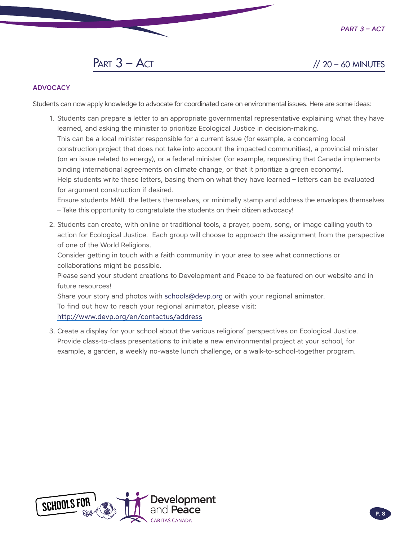# $PART 3 - ACT$  // 20 – 60 MINUTES

#### ADVOCACY

Students can now apply knowledge to advocate for coordinated care on environmental issues. Here are some ideas:

- 1. Students can prepare a letter to an appropriate governmental representative explaining what they have learned, and asking the minister to prioritize Ecological Justice in decision-making. This can be a local minister responsible for a current issue (for example, a concerning local construction project that does not take into account the impacted communities), a provincial minister (on an issue related to energy), or a federal minister (for example, requesting that Canada implements binding international agreements on climate change, or that it prioritize a green economy). Help students write these letters, basing them on what they have learned – letters can be evaluated for argument construction if desired. Ensure students MAIL the letters themselves, or minimally stamp and address the envelopes themselves – Take this opportunity to congratulate the students on their citizen advocacy!
- 2. Students can create, with online or traditional tools, a prayer, poem, song, or image calling youth to action for Ecological Justice. Each group will choose to approach the assignment from the perspective of one of the World Religions.

Consider getting in touch with a faith community in your area to see what connections or collaborations might be possible.

Please send your student creations to Development and Peace to be featured on our website and in future resources!

Share your story and photos with [schools@devp.org](mailto:schools%40devp.org%20?subject=Contact) or with your regional animator. To find out how to reach your regional animator, please visit: <http://www.devp.org/en/contactus/address>

3. Create a display for your school about the various religions' perspectives on Ecological Justice. Provide class-to-class presentations to initiate a new environmental project at your school, for example, a garden, a weekly no-waste lunch challenge, or a walk-to-school-together program.

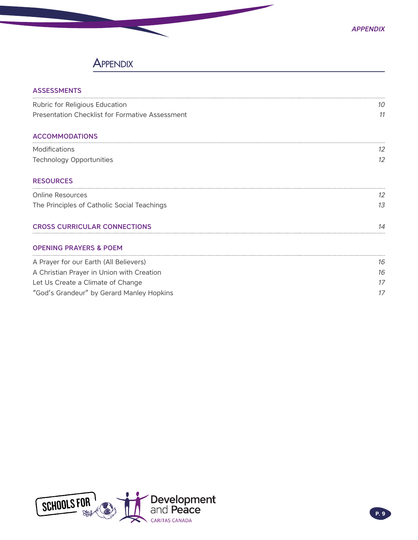# **APPENDIX**

| <b>ASSESSMENTS</b>                                     |    |
|--------------------------------------------------------|----|
| Rubric for Religious Education                         | 10 |
| <b>Presentation Checklist for Formative Assessment</b> | 11 |
| <b>ACCOMMODATIONS</b>                                  |    |
| Modifications                                          | 12 |
| Technology Opportunities                               | 12 |
| <b>RESOURCES</b>                                       |    |
| Online Resources                                       | 12 |
| The Principles of Catholic Social Teachings            | 13 |
| <b>CROSS CURRICULAR CONNECTIONS</b>                    | 14 |
| <b>OPENING PRAYERS &amp; POEM</b>                      |    |
| A Prayer for our Earth (All Believers)                 | 16 |
| A Christian Prayer in Union with Creation              | 16 |
| Let Us Create a Climate of Change                      | 17 |
| "God's Grandeur" by Gerard Manley Hopkins              | 17 |

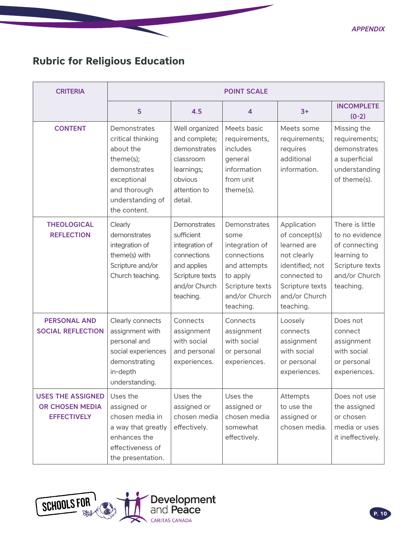# <span id="page-9-0"></span>**Rubric for Religious Education**

| <b>CRITERIA</b>                                                          | <b>POINT SCALE</b>                                                                                                                             |                                                                                                                             |                                                                                                                                    |                                                                                                                                                |                                                                                                                    |  |
|--------------------------------------------------------------------------|------------------------------------------------------------------------------------------------------------------------------------------------|-----------------------------------------------------------------------------------------------------------------------------|------------------------------------------------------------------------------------------------------------------------------------|------------------------------------------------------------------------------------------------------------------------------------------------|--------------------------------------------------------------------------------------------------------------------|--|
|                                                                          | 5                                                                                                                                              | 4.5                                                                                                                         | 4                                                                                                                                  | $3+$                                                                                                                                           | <b>INCOMPLETE</b><br>$(0-2)$                                                                                       |  |
| <b>CONTENT</b>                                                           | Demonstrates<br>critical thinking<br>about the<br>theme(s);<br>demonstrates<br>exceptional<br>and thorough<br>understanding of<br>the content. | Well organized<br>and complete;<br>demonstrates<br>classroom<br>learnings;<br>obvious<br>attention to<br>detail.            | Meets basic<br>requirements,<br>includes<br>general<br>information<br>from unit<br>theme(s).                                       | Meets some<br>requirements;<br>requires<br>additional<br>information.                                                                          | Missing the<br>requirements;<br>demonstrates<br>a superficial<br>understanding<br>of theme(s).                     |  |
| <b>THEOLOGICAL</b><br><b>REFLECTION</b>                                  | Clearly<br>demonstrates<br>integration of<br>theme(s) with<br>Scripture and/or<br>Church teaching.                                             | Demonstrates<br>sufficient<br>integration of<br>connections<br>and applies<br>Scripture texts<br>and/or Church<br>teaching. | Demonstrates<br>some<br>integration of<br>connections<br>and attempts<br>to apply<br>Scripture texts<br>and/or Church<br>teaching. | Application<br>of concept(s)<br>learned are<br>not clearly<br>identified; not<br>connected to<br>Scripture texts<br>and/or Church<br>teaching. | There is little<br>to no evidence<br>of connecting<br>learning to<br>Scripture texts<br>and/or Church<br>teaching. |  |
| <b>PERSONAL AND</b><br><b>SOCIAL REFLECTION</b>                          | Clearly connects<br>assignment with<br>personal and<br>social experiences<br>demonstrating<br>in-depth<br>understanding.                       | Connects<br>assignment<br>with social<br>and personal<br>experiences.                                                       | Connects<br>assignment<br>with social<br>or personal<br>experiences.                                                               | Loosely<br>connects<br>assignment<br>with social<br>or personal<br>experiences.                                                                | Does not<br>connect<br>assignment<br>with social<br>or personal<br>experiences.                                    |  |
| <b>USES THE ASSIGNED</b><br><b>OR CHOSEN MEDIA</b><br><b>EFFECTIVELY</b> | Uses the<br>assigned or<br>chosen media in<br>a way that greatly<br>enhances the<br>effectiveness of<br>the presentation.                      | Uses the<br>assigned or<br>chosen media<br>effectively.                                                                     | Uses the<br>assigned or<br>chosen media<br>somewhat<br>effectively.                                                                | Attempts<br>to use the<br>assigned or<br>chosen media.                                                                                         | Does not use<br>the assigned<br>or chosen<br>media or uses<br>it ineffectively.                                    |  |

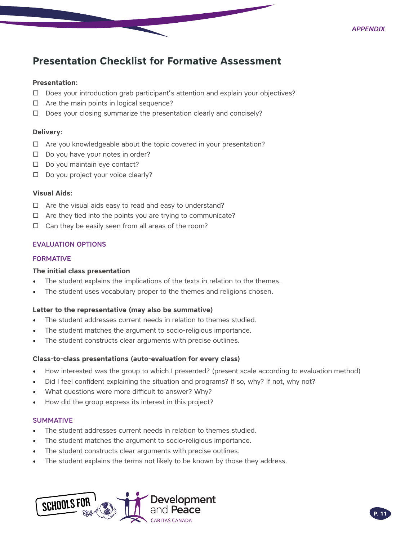<span id="page-10-0"></span>

### **Presentation Checklist for Formative Assessment**

#### **Presentation:**

- $\Box$  Does your introduction grab participant's attention and explain your objectives?
- $\Box$  Are the main points in logical sequence?
- $\square$  Does your closing summarize the presentation clearly and concisely?

#### **Delivery:**

- $\Box$  Are you knowledgeable about the topic covered in your presentation?
- $\square$  Do you have your notes in order?
- D Do you maintain eye contact?
- □ Do you project your voice clearly?

#### **Visual Aids:**

- □ Are the visual aids easy to read and easy to understand?
- $\Box$  Are they tied into the points you are trying to communicate?
- $\Box$  Can they be easily seen from all areas of the room?

#### EVALUATION OPTIONS

#### FORMATIVE

#### **The initial class presentation**

- The student explains the implications of the texts in relation to the themes.
- The student uses vocabulary proper to the themes and religions chosen.

#### **Letter to the representative (may also be summative)**

- The student addresses current needs in relation to themes studied.
- The student matches the argument to socio-religious importance.
- The student constructs clear arguments with precise outlines.

#### **Class-to-class presentations (auto-evaluation for every class)**

- How interested was the group to which I presented? (present scale according to evaluation method)
- Did I feel confident explaining the situation and programs? If so, why? If not, why not?
- What questions were more difficult to answer? Why?
- How did the group express its interest in this project?

#### SUMMATIVE

- The student addresses current needs in relation to themes studied.
- The student matches the argument to socio-religious importance.
- The student constructs clear arguments with precise outlines.
- The student explains the terms not likely to be known by those they address.

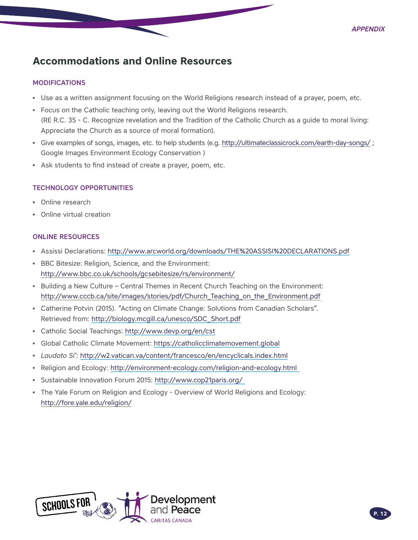### <span id="page-11-0"></span>**Accommodations and Online Resources**

#### **MODIFICATIONS**

- Use as a written assignment focusing on the World Religions research instead of a prayer, poem, etc.
- Focus on the Catholic teaching only, leaving out the World Religions research. (RE R.C. 35 - C. Recognize revelation and the Tradition of the Catholic Church as a guide to moral living: Appreciate the Church as a source of moral formation).
- Give examples of songs, images, etc. to help students (e.g. http://ultimateclassicrock.com/earth-day-songs/ [;](http://ultimateclassicrock.com/earth-day-songs/)  [Google Images Environment Ecology Conservation](http://ultimateclassicrock.com/earth-day-songs/) )
- Ask students to find instead of create a prayer, poem, etc.

#### TECHNOLOGY OPPORTUNITIES

- Online research
- Online virtual creation

#### ONLINE RESOURCES

- Assissi Declarations: <http://www.arcworld.org/downloads/THE%20ASSISI%20DECLARATIONS.pdf>
- BBC Bitesize: Religion, Science, and the Environment: <http://www.bbc.co.uk/schools/gcsebitesize/rs/environment/>
- Building a New Culture Central Themes in Recent Church Teaching on the Environment: [http://www.cccb.ca/site/images/stories/pdf/Church\\_Teaching\\_on\\_the\\_Environment.pdf](http://www.cccb.ca/site/images/stories/pdf/Church_Teaching_on_the_Environment.pdf)
- Catherine Potvin (2015). "Acting on Climate Change: Solutions from Canadian Scholars". Retrieved from: [http://biology.mcgill.ca/unesco/SDC\\_Short.pdf](http://biology.mcgill.ca/unesco/SDC_Short.pdf)
- Catholic Social Teachings:<http://www.devp.org/en/cst>
- Global Catholic Climate Movement: <https://catholicclimatemovement.global>
- *Laudato Si'*: <http://w2.vatican.va/content/francesco/en/encyclicals.index.html>
- Religion and Ecology: <http://environment-ecology.com/religion-and-ecology.html>
- Sustainable Innovation Forum 2015: [http://www.cop21paris.org/](http://www.cop21paris.org/ )
- The Yale Forum on Religion and Ecology Overview of World Religions and Ecology: [http://fore.yale.edu/religion/](http://fore.yale.edu/religion/ )

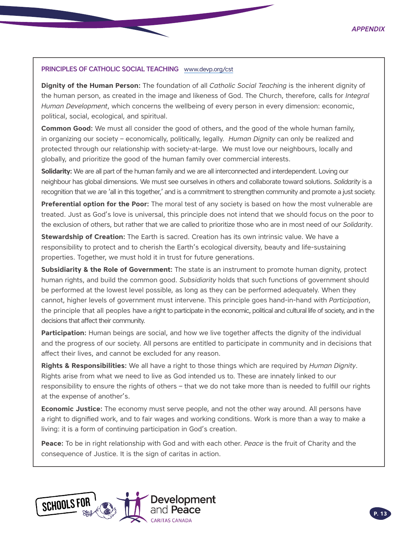#### <span id="page-12-0"></span>PRINCIPLES OF CATHOLIC SOCIAL TEACHING www.devp.org/cst

**Dignity of the Human Person:** The foundation of all *Catholic Social Teaching* is the inherent dignity of the human person, as created in the image and likeness of God. The Church, therefore, calls for *Integral Human Development*, which concerns the wellbeing of every person in every dimension: economic, political, social, ecological, and spiritual.

**Common Good:** We must all consider the good of others, and the good of the whole human family, in organizing our society – economically, politically, legally. *Human Dignity* can only be realized and protected through our relationship with society-at-large. We must love our neighbours, locally and globally, and prioritize the good of the human family over commercial interests.

**Solidarity:** We are all part of the human family and we are all interconnected and interdependent. Loving our neighbour has global dimensions. We must see ourselves in others and collaborate toward solutions. *Solidarity* is a recognition that we are 'all in this together,' and is a commitment to strengthen community and promote a just society.

**Preferential option for the Poor:** The moral test of any society is based on how the most vulnerable are treated. Just as God's love is universal, this principle does not intend that we should focus on the poor to the exclusion of others, but rather that we are called to prioritize those who are in most need of our *Solidarity*.

**Stewardship of Creation:** The Earth is sacred. Creation has its own intrinsic value. We have a responsibility to protect and to cherish the Earth's ecological diversity, beauty and life-sustaining properties. Together, we must hold it in trust for future generations.

**Subsidiarity & the Role of Government:** The state is an instrument to promote human dignity, protect human rights, and build the common good. *Subsidiarity* holds that such functions of government should be performed at the lowest level possible, as long as they can be performed adequately. When they cannot, higher levels of government must intervene. This principle goes hand-in-hand with *Participation*, the principle that all peoples have a right to participate in the economic, political and cultural life of society, and in the decisions that affect their community.

**Participation:** Human beings are social, and how we live together affects the dignity of the individual and the progress of our society. All persons are entitled to participate in community and in decisions that affect their lives, and cannot be excluded for any reason.

**Rights & Responsibilities:** We all have a right to those things which are required by *Human Dignity*. Rights arise from what we need to live as God intended us to. These are innately linked to our responsibility to ensure the rights of others – that we do not take more than is needed to fulfill our rights at the expense of another's.

**Economic Justice:** The economy must serve people, and not the other way around. All persons have a right to dignified work, and to fair wages and working conditions. Work is more than a way to make a living: it is a form of continuing participation in God's creation.

**Peace:** To be in right relationship with God and with each other. *Peace* is the fruit of Charity and the consequence of Justice. It is the sign of caritas in action.

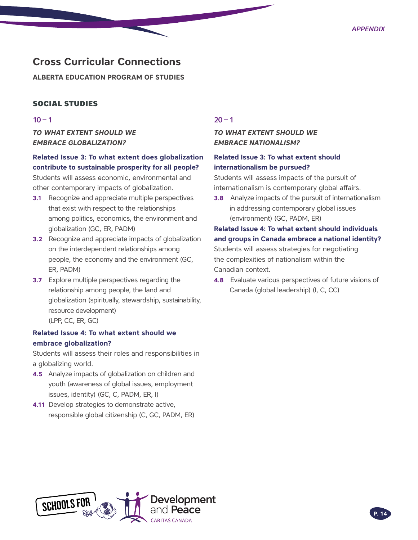### <span id="page-13-0"></span>**Cross Curricular Connections**

**ALBERTA EDUCATION PROGRAM OF STUDIES** 

#### SOCIAL STUDIES

 $10 - 1$ 

*TO WHAT EXTENT SHOULD WE EMBRACE GLOBALIZATION?*

#### **Related Issue 3: To what extent does globalization contribute to sustainable prosperity for all people?** Students will assess economic, environmental and other contemporary impacts of globalization.

**3.1** Recognize and appreciate multiple perspectives that exist with respect to the relationships among politics, economics, the environment and globalization (GC, ER, PADM)

- **3.2** Recognize and appreciate impacts of globalization on the interdependent relationships among people, the economy and the environment (GC, ER, PADM)
- **3.7** Explore multiple perspectives regarding the relationship among people, the land and globalization (spiritually, stewardship, sustainability, resource development) (LPP, CC, ER, GC)

#### **Related Issue 4: To what extent should we embrace globalization?**

Students will assess their roles and responsibilities in a globalizing world.

- **4.5** Analyze impacts of globalization on children and youth (awareness of global issues, employment issues, identity) (GC, C, PADM, ER, I)
- **4.11** Develop strategies to demonstrate active, responsible global citizenship (C, GC, PADM, ER)

#### $20 - 1$

#### *TO WHAT EXTENT SHOULD WE EMBRACE NATIONALISM?*

#### **Related Issue 3: To what extent should internationalism be pursued?**

Students will assess impacts of the pursuit of internationalism is contemporary global affairs.

**3.8** Analyze impacts of the pursuit of internationalism in addressing contemporary global issues (environment) (GC, PADM, ER)

**Related Issue 4: To what extent should individuals and groups in Canada embrace a national identity?** Students will assess strategies for negotiating the complexities of nationalism within the Canadian context.

**4.8** Evaluate various perspectives of future visions of Canada (global leadership) (I, C, CC)

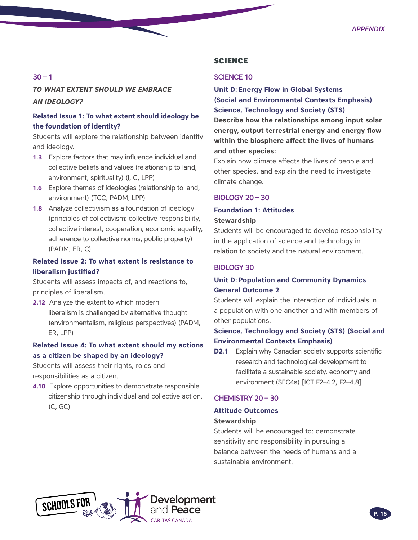#### $30 - 1$

*TO WHAT EXTENT SHOULD WE EMBRACE AN IDEOLOGY?*

#### **Related Issue 1: To what extent should ideology be the foundation of identity?**

Students will explore the relationship between identity and ideology.

- **1.3** Explore factors that may influence individual and collective beliefs and values (relationship to land, environment, spirituality) (I, C, LPP)
- **1.6** Explore themes of ideologies (relationship to land, environment) (TCC, PADM, LPP)
- **1.8** Analyze collectivism as a foundation of ideology (principles of collectivism: collective responsibility, collective interest, cooperation, economic equality, adherence to collective norms, public property) (PADM, ER, C)

#### **Related Issue 2: To what extent is resistance to liberalism justified?**

Students will assess impacts of, and reactions to, principles of liberalism.

**2.12** Analyze the extent to which modern liberalism is challenged by alternative thought (environmentalism, religious perspectives) (PADM, ER, LPP)

#### **Related Issue 4: To what extent should my actions as a citizen be shaped by an ideology?**

Students will assess their rights, roles and responsibilities as a citizen.

**4.10** Explore opportunities to demonstrate responsible citizenship through individual and collective action. (C, GC)

#### SCIENCE

#### SCIENCE 10

#### **Unit D: Energy Flow in Global Systems (Social and Environmental Contexts Emphasis) Science, Technology and Society (STS)**

**Describe how the relationships among input solar energy, output terrestrial energy and energy flow within the biosphere affect the lives of humans and other species:**

Explain how climate affects the lives of people and other species, and explain the need to investigate climate change.

#### BIOLOGY 20 – 30

#### **Foundation 1: Attitudes**

#### **Stewardship**

Students will be encouraged to develop responsibility in the application of science and technology in relation to society and the natural environment.

#### BIOLOGY 30

#### **Unit D: Population and Community Dynamics General Outcome 2**

Students will explain the interaction of individuals in a population with one another and with members of other populations.

#### **Science, Technology and Society (STS) (Social and Environmental Contexts Emphasis)**

**D2.1** Explain why Canadian society supports scientific research and technological development to facilitate a sustainable society, economy and environment (SEC4a) [ICT F2–4.2, F2–4.8]

#### CHEMISTRY 20 – 30

# **Attitude Outcomes**

#### **Stewardship**

Students will be encouraged to: demonstrate sensitivity and responsibility in pursuing a balance between the needs of humans and a sustainable environment.

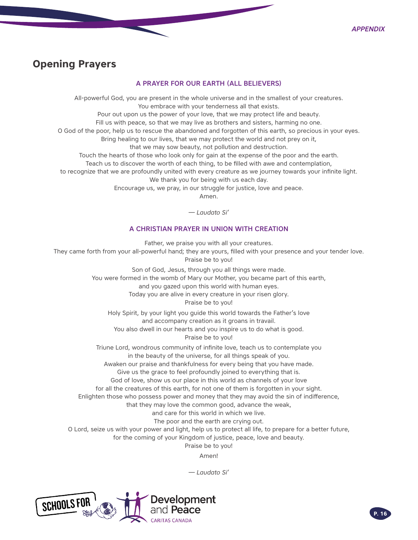### <span id="page-15-0"></span>**Opening Prayers**

#### A PRAYER FOR OUR EARTH (ALL BELIEVERS)

All-powerful God, you are present in the whole universe and in the smallest of your creatures. You embrace with your tenderness all that exists. Pour out upon us the power of your love, that we may protect life and beauty. Fill us with peace, so that we may live as brothers and sisters, harming no one. O God of the poor, help us to rescue the abandoned and forgotten of this earth, so precious in your eyes. Bring healing to our lives, that we may protect the world and not prey on it, that we may sow beauty, not pollution and destruction. Touch the hearts of those who look only for gain at the expense of the poor and the earth. Teach us to discover the worth of each thing, to be filled with awe and contemplation, to recognize that we are profoundly united with every creature as we journey towards your infinite light. We thank you for being with us each day. Encourage us, we pray, in our struggle for justice, love and peace. Amen. — *Laudato Si'* A CHRISTIAN PRAYER IN UNION WITH CREATION Father, we praise you with all your creatures. They came forth from your all-powerful hand; they are yours, filled with your presence and your tender love. Praise be to you! Son of God, Jesus, through you all things were made. You were formed in the womb of Mary our Mother, you became part of this earth, and you gazed upon this world with human eyes. Today you are alive in every creature in your risen glory. Praise be to you!

Holy Spirit, by your light you guide this world towards the Father's love and accompany creation as it groans in travail. You also dwell in our hearts and you inspire us to do what is good. Praise be to you!

Triune Lord, wondrous community of infinite love, teach us to contemplate you

in the beauty of the universe, for all things speak of you.

Awaken our praise and thankfulness for every being that you have made.

Give us the grace to feel profoundly joined to everything that is.

God of love, show us our place in this world as channels of your love

for all the creatures of this earth, for not one of them is forgotten in your sight.

Enlighten those who possess power and money that they may avoid the sin of indifference,

that they may love the common good, advance the weak,

and care for this world in which we live.

The poor and the earth are crying out.

O Lord, seize us with your power and light, help us to protect all life, to prepare for a better future,

for the coming of your Kingdom of justice, peace, love and beauty.

Praise be to you!

Amen!

— *Laudato Si'*